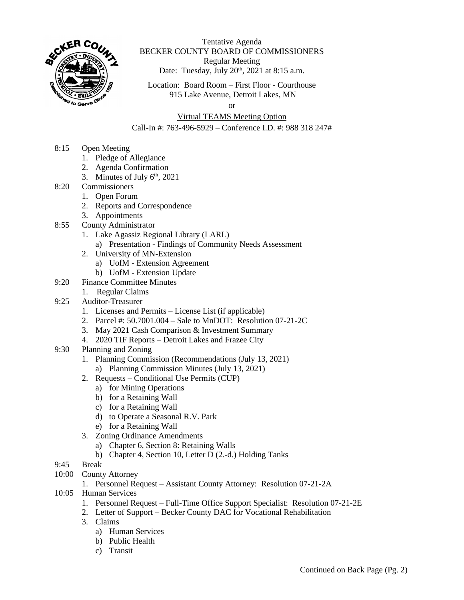

Tentative Agenda BECKER COUNTY BOARD OF COMMISSIONERS Regular Meeting Date: Tuesday, July  $20<sup>th</sup>$ ,  $2021$  at 8:15 a.m.

Location: Board Room – First Floor - Courthouse 915 Lake Avenue, Detroit Lakes, MN

or

## Virtual TEAMS Meeting Option

Call-In #: 763-496-5929 – Conference I.D. #: 988 318 247#

- 8:15 Open Meeting
	- 1. Pledge of Allegiance
	- 2. Agenda Confirmation
	- 3. Minutes of July  $6<sup>th</sup>$ , 2021
- 8:20 Commissioners
	- 1. Open Forum
		- 2. Reports and Correspondence
		- 3. Appointments
- 8:55 County Administrator
	- 1. Lake Agassiz Regional Library (LARL)
		- a) Presentation Findings of Community Needs Assessment
	- 2. University of MN-Extension
		- a) UofM Extension Agreement
	- b) UofM Extension Update
- 9:20 Finance Committee Minutes
	- 1. Regular Claims
- 9:25 Auditor-Treasurer
	- 1. Licenses and Permits License List (if applicable)
	- 2. Parcel #: 50.7001.004 Sale to MnDOT: Resolution 07-21-2C
	- 3. May 2021 Cash Comparison & Investment Summary
	- 4. 2020 TIF Reports Detroit Lakes and Frazee City
- 9:30 Planning and Zoning
	- 1. Planning Commission (Recommendations (July 13, 2021)
		- a) Planning Commission Minutes (July 13, 2021)
	- 2. Requests Conditional Use Permits (CUP)
		- a) for Mining Operations
		- b) for a Retaining Wall
		- c) for a Retaining Wall
		- d) to Operate a Seasonal R.V. Park
		- e) for a Retaining Wall
	- 3. Zoning Ordinance Amendments
		- a) Chapter 6, Section 8: Retaining Walls
		- b) Chapter 4, Section 10, Letter D (2.-d.) Holding Tanks
- 9:45 Break
- 10:00 County Attorney
	- 1. Personnel Request Assistant County Attorney: Resolution 07-21-2A
- 10:05 Human Services
	- 1. Personnel Request Full-Time Office Support Specialist: Resolution 07-21-2E
	- 2. Letter of Support Becker County DAC for Vocational Rehabilitation
	- 3. Claims
		- a) Human Services
		- b) Public Health
		- c) Transit